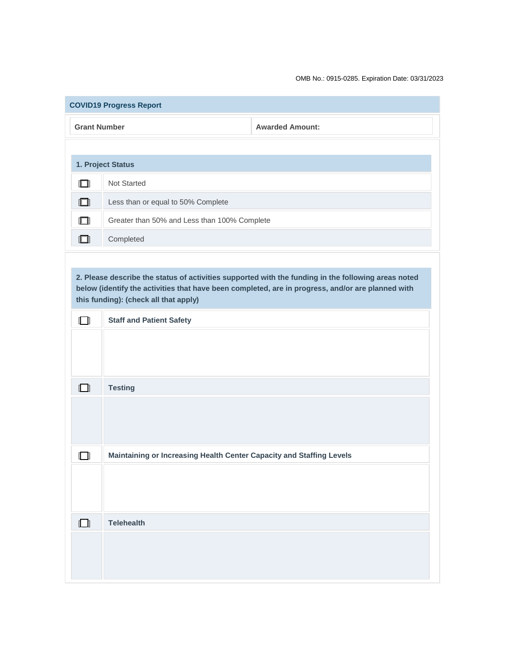OMB No.: 0915-0285. Expiration Date: 03/31/2023

| <b>COVID19 Progress Report</b>                                                                                                                                                                                                                    |                                                                      |                        |  |
|---------------------------------------------------------------------------------------------------------------------------------------------------------------------------------------------------------------------------------------------------|----------------------------------------------------------------------|------------------------|--|
| <b>Grant Number</b>                                                                                                                                                                                                                               |                                                                      | <b>Awarded Amount:</b> |  |
|                                                                                                                                                                                                                                                   |                                                                      |                        |  |
| 1. Project Status                                                                                                                                                                                                                                 |                                                                      |                        |  |
| $\Box$                                                                                                                                                                                                                                            | Not Started                                                          |                        |  |
| $\Box$                                                                                                                                                                                                                                            | Less than or equal to 50% Complete                                   |                        |  |
| $\Box$                                                                                                                                                                                                                                            | Greater than 50% and Less than 100% Complete                         |                        |  |
| $\Box$                                                                                                                                                                                                                                            | Completed                                                            |                        |  |
|                                                                                                                                                                                                                                                   |                                                                      |                        |  |
| 2. Please describe the status of activities supported with the funding in the following areas noted<br>below (identify the activities that have been completed, are in progress, and/or are planned with<br>this funding): (check all that apply) |                                                                      |                        |  |
| $\Box$                                                                                                                                                                                                                                            | <b>Staff and Patient Safety</b>                                      |                        |  |
|                                                                                                                                                                                                                                                   |                                                                      |                        |  |
| $\Box$                                                                                                                                                                                                                                            | <b>Testing</b>                                                       |                        |  |
|                                                                                                                                                                                                                                                   |                                                                      |                        |  |
| ſП                                                                                                                                                                                                                                                | Maintaining or Increasing Health Center Capacity and Staffing Levels |                        |  |
|                                                                                                                                                                                                                                                   |                                                                      |                        |  |
| $\Box$                                                                                                                                                                                                                                            | <b>Telehealth</b>                                                    |                        |  |
|                                                                                                                                                                                                                                                   |                                                                      |                        |  |